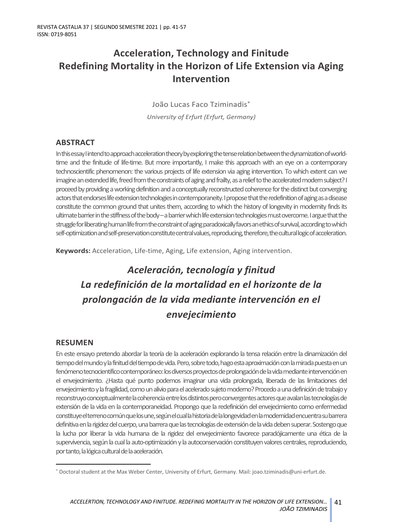## **Acceleration, Technology and Finitude Redefining Mortality in the Horizon of Life Extension via Aging Intervention**

João Lucas Faco Tziminadis\* *University of Erfurt (Erfurt, Germany)*

### **ABSTRACT**

In this essay I intend to approach acceleration theory by exploring the tense relation between the dynamization of worldtime and the finitude of life-time. But more importantly, I make this approach with an eye on a contemporary technoscientific phenomenon: the various projects of life extension via aging intervention. To which extent can we imagine an extended life, freed from the constraints of aging and frailty, as a relief to the accelerated modern subject? I proceed by providing a working definition and a conceptually reconstructed coherence for the distinct but converging actors that endorses life extension technologies in contemporaneity. I propose that the redefinition of aging as a disease constitute the common ground that unites them, according to which the history of longevity in modernity finds its ultimate barrier in the stiffness of the body –a barrier which life extension technologies must overcome. I argue that the struggle for liberating human life from the constraint of aging paradoxicallyfavors an ethics of survival, according to which self-optimization and self-preservation constitute central values, reproducing, therefore, the cultural logic of acceleration.

**Keywords:** Acceleration, Life-time, Aging, Life extension, Aging intervention.

# *Aceleración, tecnología y finitud La redefinición de la mortalidad en el horizonte de la prolongación de la vida mediante intervención en el envejecimiento*

### **RESUMEN**

En este ensayo pretendo abordar la teoría de la aceleración explorando la tensa relación entre la dinamización del tiempo del mundo y la finitud del tiempo de vida. Pero, sobre todo, hago esta aproximación con la mirada puesta en un fenómeno tecnocientífico contemporáneo: los diversos proyectos de prolongación de la vida mediante intervención en el envejecimiento. ¿Hasta qué punto podemos imaginar una vida prolongada, liberada de las limitaciones del envejecimiento y la fragilidad, como un alivio para el acelerado sujeto moderno? Procedo a una definición de trabajo y reconstruyo conceptualmente la coherencia entre los distintos pero convergentes actores que avalan las tecnologías de extensión de la vida en la contemporaneidad. Propongo que la redefinición del envejecimiento como enfermedad constituye el terreno común que los une, según el cual la historia de la longevidad en la modernidad encuentra su barrera definitiva en la rigidez del cuerpo, una barrera que las tecnologías de extensión de la vida deben superar. Sostengo que la lucha por liberar la vida humana de la rigidez del envejecimiento favorece paradójicamente una ética de la supervivencia, según la cual la auto-optimización y la autoconservación constituyen valores centrales, reproduciendo, por tanto, la lógica cultural de la aceleración.

<sup>\*</sup> Doctoral student at the Max Weber Center, University of Erfurt, Germany. Mail: joao.tziminadis@uni-erfurt.de.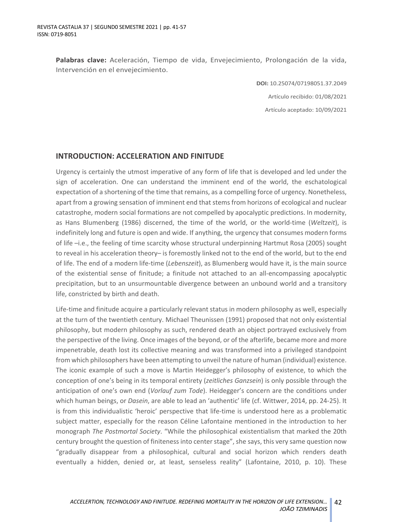**Palabras clave:** Aceleración, Tiempo de vida, Envejecimiento, Prolongación de la vida, Intervención en el envejecimiento.

> **DOI:** 10.25074/07198051.37.2049 Artículo recibido: 01/08/2021 Artículo aceptado: 10/09/2021

### **INTRODUCTION: ACCELERATION AND FINITUDE**

Urgency is certainly the utmost imperative of any form of life that is developed and led under the sign of acceleration. One can understand the imminent end of the world, the eschatological expectation of a shortening of the time that remains, as a compelling force of urgency. Nonetheless, apart from a growing sensation of imminent end that stems from horizons of ecological and nuclear catastrophe, modern social formations are not compelled by apocalyptic predictions. In modernity, as Hans Blumenberg (1986) discerned, the time of the world, or the world-time (*Weltzeit*), is indefinitely long and future is open and wide. If anything, the urgency that consumes modern forms of life –i.e., the feeling of time scarcity whose structural underpinning Hartmut Rosa (2005) sought to reveal in his acceleration theory– is foremostly linked not to the end of the world, but to the end of life. The end of a modern life-time (*Lebenszeit*), as Blumenberg would have it, is the main source of the existential sense of finitude; a finitude not attached to an all-encompassing apocalyptic precipitation, but to an unsurmountable divergence between an unbound world and a transitory life, constricted by birth and death.

Life-time and finitude acquire a particularly relevant status in modern philosophy as well, especially at the turn of the twentieth century. Michael Theunissen (1991) proposed that not only existential philosophy, but modern philosophy as such, rendered death an object portrayed exclusively from the perspective of the living. Once images of the beyond, or of the afterlife, became more and more impenetrable, death lost its collective meaning and was transformed into a privileged standpoint from which philosophers have been attempting to unveil the nature of human (individual) existence. The iconic example of such a move is Martin Heidegger's philosophy of existence, to which the conception of one's being in its temporal entirety (*zeitliches Ganzsein*) is only possible through the anticipation of one's own end (*Vorlauf zum Tode*). Heidegger's concern are the conditions under which human beings, or *Dasein*, are able to lead an 'authentic' life (cf. Wittwer, 2014, pp. 24-25). It is from this individualistic 'heroic' perspective that life-time is understood here as a problematic subject matter, especially for the reason Céline Lafontaine mentioned in the introduction to her monograph *The Postmortal Society*. "While the philosophical existentialism that marked the 20th century brought the question of finiteness into center stage", she says, this very same question now "gradually disappear from a philosophical, cultural and social horizon which renders death eventually a hidden, denied or, at least, senseless reality" (Lafontaine, 2010, p. 10). These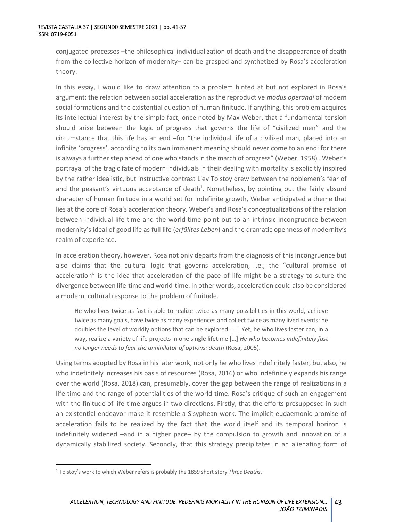conjugated processes –the philosophical individualization of death and the disappearance of death from the collective horizon of modernity– can be grasped and synthetized by Rosa's acceleration theory.

In this essay, I would like to draw attention to a problem hinted at but not explored in Rosa's argument: the relation between social acceleration as the reproductive *modus operandi* of modern social formations and the existential question of human finitude. If anything, this problem acquires its intellectual interest by the simple fact, once noted by Max Weber, that a fundamental tension should arise between the logic of progress that governs the life of "civilized men" and the circumstance that this life has an end –for "the individual life of a civilized man, placed into an infinite 'progress', according to its own immanent meaning should never come to an end; for there is always a further step ahead of one who stands in the march of progress" (Weber, 1958) . Weber's portrayal of the tragic fate of modern individuals in their dealing with mortality is explicitly inspired by the rather idealistic, but instructive contrast Liev Tolstoy drew between the noblemen's fear of and the peasant's virtuous acceptance of death $^1$ . Nonetheless, by pointing out the fairly absurd character of human finitude in a world set for indefinite growth, Weber anticipated a theme that lies at the core of Rosa's acceleration theory. Weber's and Rosa's conceptualizations of the relation between individual life-time and the world-time point out to an intrinsic incongruence between modernity's ideal of good life as full life (*erfülltes Leben*) and the dramatic openness of modernity's realm of experience.

In acceleration theory, however, Rosa not only departs from the diagnosis of this incongruence but also claims that the cultural logic that governs acceleration, i.e., the "cultural promise of acceleration" is the idea that acceleration of the pace of life might be a strategy to suture the divergence between life-time and world-time. In other words, acceleration could also be considered a modern, cultural response to the problem of finitude.

He who lives twice as fast is able to realize twice as many possibilities in this world, achieve twice as many goals, have twice as many experiences and collect twice as many lived events: he doubles the level of worldly options that can be explored. […] Yet, he who lives faster can, in a way, realize a variety of life projects in one single lifetime […] *He who becomes indefinitely fast no longer needs to fear the annihilator of options: death* (Rosa, 2005).

Using terms adopted by Rosa in his later work, not only he who lives indefinitely faster, but also, he who indefinitely increases his basis of resources (Rosa, 2016) or who indefinitely expands his range over the world (Rosa, 2018) can, presumably, cover the gap between the range of realizations in a life-time and the range of potentialities of the world-time. Rosa's critique of such an engagement with the finitude of life-time argues in two directions. Firstly, that the efforts presupposed in such an existential endeavor make it resemble a Sisyphean work. The implicit eudaemonic promise of acceleration fails to be realized by the fact that the world itself and its temporal horizon is indefinitely widened –and in a higher pace– by the compulsion to growth and innovation of a dynamically stabilized society. Secondly, that this strategy precipitates in an alienating form of

<sup>1</sup> Tolstoy's work to which Weber refers is probably the 1859 short story *Three Deaths*.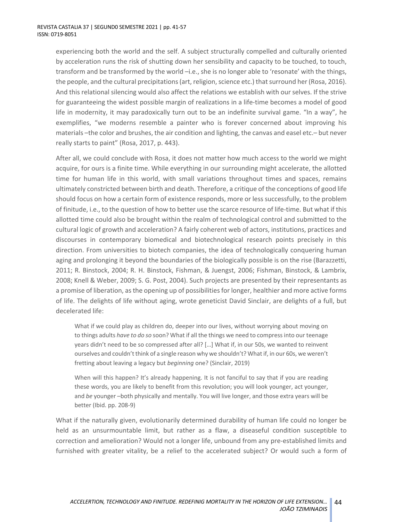experiencing both the world and the self. A subject structurally compelled and culturally oriented by acceleration runs the risk of shutting down her sensibility and capacity to be touched, to touch, transform and be transformed by the world –i.e., she is no longer able to 'resonate' with the things, the people, and the cultural precipitations (art, religion, science etc.) that surround her (Rosa, 2016). And this relational silencing would also affect the relations we establish with our selves. If the strive for guaranteeing the widest possible margin of realizations in a life-time becomes a model of good life in modernity, it may paradoxically turn out to be an indefinite survival game. "In a way", he exemplifies, "we moderns resemble a painter who is forever concerned about improving his materials –the color and brushes, the air condition and lighting, the canvas and easel etc.– but never really starts to paint" (Rosa, 2017, p. 443).

After all, we could conclude with Rosa, it does not matter how much access to the world we might acquire, for ours is a finite time. While everything in our surrounding might accelerate, the allotted time for human life in this world, with small variations throughout times and spaces, remains ultimately constricted between birth and death. Therefore, a critique of the conceptions of good life should focus on how a certain form of existence responds, more or less successfully, to the problem of finitude, i.e., to the question of how to better use the scarce resource of life-time. But what if this allotted time could also be brought within the realm of technological control and submitted to the cultural logic of growth and acceleration? A fairly coherent web of actors, institutions, practices and discourses in contemporary biomedical and biotechnological research points precisely in this direction. From universities to biotech companies, the idea of technologically conquering human aging and prolonging it beyond the boundaries of the biologically possible is on the rise (Barazzetti, 2011; R. Binstock, 2004; R. H. Binstock, Fishman, & Juengst, 2006; Fishman, Binstock, & Lambrix, 2008; Knell & Weber, 2009; S. G. Post, 2004). Such projects are presented by their representants as a promise of liberation, as the opening up of possibilities for longer, healthier and more active forms of life. The delights of life without aging, wrote geneticist David Sinclair, are delights of a full, but decelerated life:

What if we could play as children do, deeper into our lives, without worrying about moving on to things adults *have to do so* soon? What if all the things we need to compress into our teenage years didn't need to be so compressed after all? […] What if, in our 50s, we wanted to reinvent ourselves and couldn't think of a single reason why we shouldn't? What if, in our 60s, we weren't fretting about leaving a legacy but *beginning* one? (Sinclair, 2019)

When will this happen? It's already happening. It is not fanciful to say that if you are reading these words, you are likely to benefit from this revolution; you will look younger, act younger, and *be* younger –both physically and mentally. You will live longer, and those extra years will be better (Ibid. pp. 208-9)

What if the naturally given, evolutionarily determined durability of human life could no longer be held as an unsurmountable limit, but rather as a flaw, a diseaseful condition susceptible to correction and amelioration? Would not a longer life, unbound from any pre-established limits and furnished with greater vitality, be a relief to the accelerated subject? Or would such a form of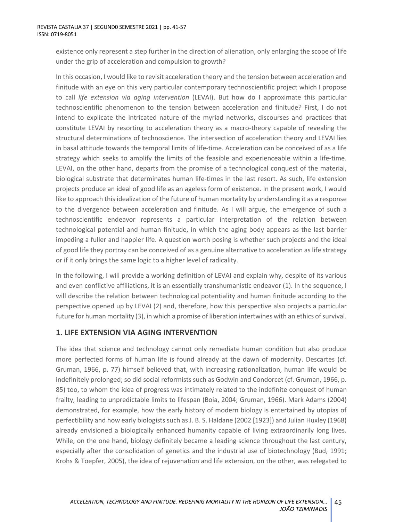existence only represent a step further in the direction of alienation, only enlarging the scope of life under the grip of acceleration and compulsion to growth?

In this occasion, I would like to revisit acceleration theory and the tension between acceleration and finitude with an eye on this very particular contemporary technoscientific project which I propose to call *life extension via aging intervention* (LEVAI). But how do I approximate this particular technoscientific phenomenon to the tension between acceleration and finitude? First, I do not intend to explicate the intricated nature of the myriad networks, discourses and practices that constitute LEVAI by resorting to acceleration theory as a macro-theory capable of revealing the structural determinations of technoscience. The intersection of acceleration theory and LEVAI lies in basal attitude towards the temporal limits of life-time. Acceleration can be conceived of as a life strategy which seeks to amplify the limits of the feasible and experienceable within a life-time. LEVAI, on the other hand, departs from the promise of a technological conquest of the material, biological substrate that determinates human life-times in the last resort. As such, life extension projects produce an ideal of good life as an ageless form of existence. In the present work, I would like to approach this idealization of the future of human mortality by understanding it as a response to the divergence between acceleration and finitude. As I will argue, the emergence of such a technoscientific endeavor represents a particular interpretation of the relation between technological potential and human finitude, in which the aging body appears as the last barrier impeding a fuller and happier life. A question worth posing is whether such projects and the ideal of good life they portray can be conceived of as a genuine alternative to acceleration as life strategy or if it only brings the same logic to a higher level of radicality.

In the following, I will provide a working definition of LEVAI and explain why, despite of its various and even conflictive affiliations, it is an essentially transhumanistic endeavor (1). In the sequence, I will describe the relation between technological potentiality and human finitude according to the perspective opened up by LEVAI (2) and, therefore, how this perspective also projects a particular future for human mortality (3), in which a promise of liberation intertwines with an ethics of survival.

### **1. LIFE EXTENSION VIA AGING INTERVENTION**

The idea that science and technology cannot only remediate human condition but also produce more perfected forms of human life is found already at the dawn of modernity. Descartes (cf. Gruman, 1966, p. 77) himself believed that, with increasing rationalization, human life would be indefinitely prolonged; so did social reformists such as Godwin and Condorcet (cf. Gruman, 1966, p. 85) too, to whom the idea of progress was intimately related to the indefinite conquest of human frailty, leading to unpredictable limits to lifespan (Boia, 2004; Gruman, 1966). Mark Adams (2004) demonstrated, for example, how the early history of modern biology is entertained by utopias of perfectibility and how early biologists such as J. B. S. Haldane (2002 [1923]) and Julian Huxley (1968) already envisioned a biologically enhanced humanity capable of living extraordinarily long lives. While, on the one hand, biology definitely became a leading science throughout the last century, especially after the consolidation of genetics and the industrial use of biotechnology (Bud, 1991; Krohs & Toepfer, 2005), the idea of rejuvenation and life extension, on the other, was relegated to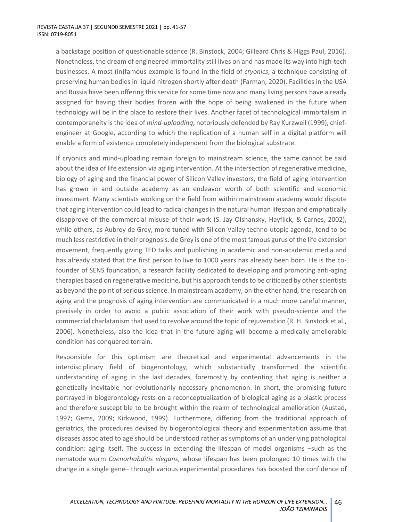a backstage position of questionable science (R. Binstock, 2004; Gilleard Chris & Higgs Paul, 2016). Nonetheless, the dream of engineered immortality still lives on and has made its way into high-tech businesses. A most (in)famous example is found in the field of *cryonics*, a technique consisting of preserving human bodies in liquid nitrogen shortly after death (Farman, 2020). Facilities in the USA and Russia have been offering this service for some time now and many living persons have already assigned for having their bodies frozen with the hope of being awakened in the future when technology will be in the place to restore their lives. Another facet of technological immortalism in contemporaneity is the idea of *mind-uploading*, notoriously defended by Ray Kurzweil (1999), chiefengineer at Google, according to which the replication of a human self in a digital platform will enable a form of existence completely independent from the biological substrate.

If cryonics and mind-uploading remain foreign to mainstream science, the same cannot be said about the idea of life extension via aging intervention. At the intersection of regenerative medicine, biology of aging and the financial power of Silicon Valley investors, the field of aging intervention has grown in and outside academy as an endeavor worth of both scientific and economic investment. Many scientists working on the field from within mainstream academy would dispute that aging intervention could lead to radical changes in the natural human lifespan and emphatically disapprove of the commercial misuse of their work (S. Jay Olshansky, Hayflick, & Carnes, 2002), while others, as Aubrey de Grey, more tuned with Silicon Valley techno-utopic agenda, tend to be much less restrictive in their prognosis. de Grey is one of the most famous gurus of the life extension movement, frequently giving TED talks and publishing in academic and non-academic media and has already stated that the first person to live to 1000 years has already been born. He is the cofounder of SENS foundation, a research facility dedicated to developing and promoting anti-aging therapies based on regenerative medicine, but his approach tends to be criticized by other scientists as beyond the point of serious science. In mainstream academy, on the other hand, the research on aging and the prognosis of aging intervention are communicated in a much more careful manner, precisely in order to avoid a public association of their work with pseudo-science and the commercial charlatanism that used to revolve around the topic of rejuvenation (R. H. Binstock et al., 2006). Nonetheless, also the idea that in the future aging will become a medically ameliorable condition has conquered terrain.

Responsible for this optimism are theoretical and experimental advancements in the interdisciplinary field of biogerontology, which substantially transformed the scientific understanding of aging in the last decades, foremostly by contenting that aging is neither a genetically inevitable nor evolutionarily necessary phenomenon. In short, the promising future portrayed in biogerontology rests on a reconceptualization of biological aging as a plastic process and therefore susceptible to be brought within the realm of technological amelioration (Austad, 1997; Gems, 2009; Kirkwood, 1999). Furthermore, differing from the traditional approach of geriatrics, the procedures devised by biogerontological theory and experimentation assume that diseases associated to age should be understood rather as symptoms of an underlying pathological condition: aging itself. The success in extending the lifespan of model organisms –such as the nematode worm *Caenorhabditis elegans*, whose lifespan has been prolonged 10 times with the change in a single gene– through various experimental procedures has boosted the confidence of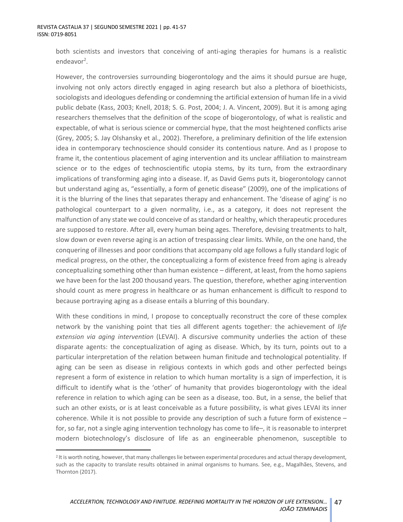both scientists and investors that conceiving of anti-aging therapies for humans is a realistic endeavor<sup>2</sup>.

However, the controversies surrounding biogerontology and the aims it should pursue are huge, involving not only actors directly engaged in aging research but also a plethora of bioethicists, sociologists and ideologues defending or condemning the artificial extension of human life in a vivid public debate (Kass, 2003; Knell, 2018; S. G. Post, 2004; J. A. Vincent, 2009). But it is among aging researchers themselves that the definition of the scope of biogerontology, of what is realistic and expectable, of what is serious science or commercial hype, that the most heightened conflicts arise (Grey, 2005; S. Jay Olshansky et al., 2002). Therefore, a preliminary definition of the life extension idea in contemporary technoscience should consider its contentious nature. And as I propose to frame it, the contentious placement of aging intervention and its unclear affiliation to mainstream science or to the edges of technoscientific utopia stems, by its turn, from the extraordinary implications of transforming aging into a disease. If, as David Gems puts it, biogerontology cannot but understand aging as, "essentially, a form of genetic disease" (2009), one of the implications of it is the blurring of the lines that separates therapy and enhancement. The 'disease of aging' is no pathological counterpart to a given normality, i.e., as a category, it does not represent the malfunction of any state we could conceive of as standard or healthy, which therapeutic procedures are supposed to restore. After all, every human being ages. Therefore, devising treatments to halt, slow down or even reverse aging is an action of trespassing clear limits. While, on the one hand, the conquering of illnesses and poor conditions that accompany old age follows a fully standard logic of medical progress, on the other, the conceptualizing a form of existence freed from aging is already conceptualizing something other than human existence – different, at least, from the homo sapiens we have been for the last 200 thousand years. The question, therefore, whether aging intervention should count as mere progress in healthcare or as human enhancement is difficult to respond to because portraying aging as a disease entails a blurring of this boundary.

With these conditions in mind, I propose to conceptually reconstruct the core of these complex network by the vanishing point that ties all different agents together: the achievement of *life extension via aging intervention* (LEVAI). A discursive community underlies the action of these disparate agents: the conceptualization of aging as disease. Which, by its turn, points out to a particular interpretation of the relation between human finitude and technological potentiality. If aging can be seen as disease in religious contexts in which gods and other perfected beings represent a form of existence in relation to which human mortality is a sign of imperfection, it is difficult to identify what is the 'other' of humanity that provides biogerontology with the ideal reference in relation to which aging can be seen as a disease, too. But, in a sense, the belief that such an other exists, or is at least conceivable as a future possibility, is what gives LEVAI its inner coherence. While it is not possible to provide any description of such a future form of existence – for, so far, not a single aging intervention technology has come to life–, it is reasonable to interpret modern biotechnology's disclosure of life as an engineerable phenomenon, susceptible to

<sup>&</sup>lt;sup>2</sup> It is worth noting, however, that many challenges lie between experimental procedures and actual therapy development, such as the capacity to translate results obtained in animal organisms to humans. See, e.g., Magalhães, Stevens, and Thornton (2017).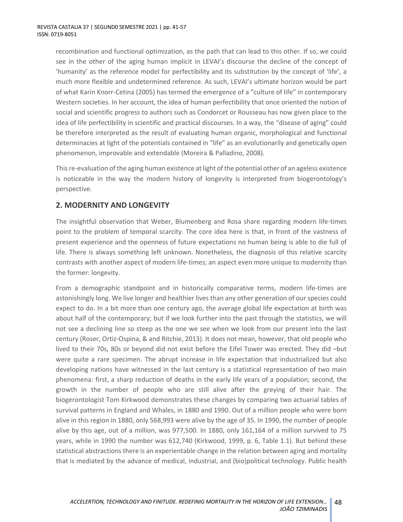recombination and functional optimization, as the path that can lead to this other. If so, we could see in the other of the aging human implicit in LEVAI's discourse the decline of the concept of 'humanity' as the reference model for perfectibility and its substitution by the concept of 'life', a much more flexible and undetermined reference. As such, LEVAI's ultimate horizon would be part of what Karin Knorr-Cetina (2005) has termed the emergence of a "culture of life" in contemporary Western societies. In her account, the idea of human perfectibility that once oriented the notion of social and scientific progress to authors such as Condorcet or Rousseau has now given place to the idea of life perfectibility in scientific and practical discourses. In a way, the "disease of aging" could be therefore interpreted as the result of evaluating human organic, morphological and functional determinacies at light of the potentials contained in "life" as an evolutionarily and genetically open phenomenon, improvable and extendable (Moreira & Palladino, 2008).

This re-evaluation of the aging human existence at light of the potential other of an ageless existence is noticeable in the way the modern history of longevity is interpreted from biogerontology's perspective.

### **2. MODERNITY AND LONGEVITY**

The insightful observation that Weber, Blumenberg and Rosa share regarding modern life-times point to the problem of temporal scarcity. The core idea here is that, in front of the vastness of present experience and the openness of future expectations no human being is able to die full of life. There is always something left unknown. Nonetheless, the diagnosis of this relative scarcity contrasts with another aspect of modern life-times; an aspect even more unique to modernity than the former: longevity.

From a demographic standpoint and in historically comparative terms, modern life-times are astonishingly long. We live longer and healthier lives than any other generation of our species could expect to do. In a bit more than one century ago, the average global life expectation at birth was about half of the contemporary; but if we look further into the past through the statistics, we will not see a declining line so steep as the one we see when we look from our present into the last century (Roser, Ortiz-Ospina, & and Ritchie, 2013). It does not mean, however, that old people who lived to their 70s, 80s or beyond did not exist before the Eifel Tower was erected. They did –but were quite a rare specimen. The abrupt increase in life expectation that industrialized but also developing nations have witnessed in the last century is a statistical representation of two main phenomena: first, a sharp reduction of deaths in the early life years of a population; second, the growth in the number of people who are still alive after the greying of their hair. The biogerontologist Tom Kirkwood demonstrates these changes by comparing two actuarial tables of survival patterns in England and Whales, in 1880 and 1990. Out of a million people who were born alive in this region in 1880, only 568,993 were alive by the age of 35. In 1990, the number of people alive by this age, out of a million, was 977,500. In 1880, only 161,164 of a million survived to 75 years, while in 1990 the number was 612,740 (Kirkwood, 1999, p. 6, Table 1.1). But behind these statistical abstractions there is an experientable change in the relation between aging and mortality that is mediated by the advance of medical, industrial, and (bio)political technology. Public health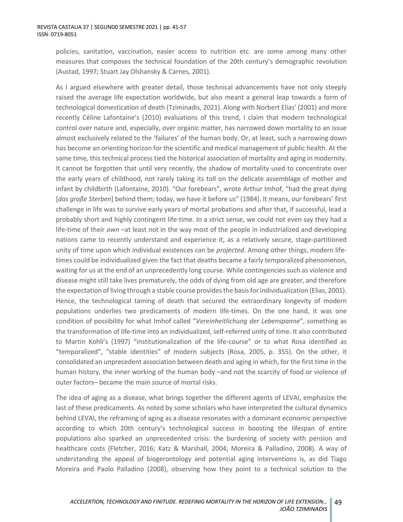policies, sanitation, vaccination, easier access to nutrition etc. are some among many other measures that composes the technical foundation of the 20th century's demographic revolution (Austad, 1997; Stuart Jay Olshansky & Carnes, 2001).

As I argued elsewhere with greater detail, those technical advancements have not only steeply raised the average life expectation worldwide, but also meant a general leap towards a form of technological domestication of death (Tziminadis, 2021). Along with Norbert Elias' (2001) and more recently Céline Lafontaine's (2010) evaluations of this trend, I claim that modern technological control over nature and, especially, over organic matter, has narrowed down mortality to an issue almost exclusively related to the 'failures' of the human body. Or, at least, such a narrowing down has become an orienting horizon for the scientific and medical management of public health. At the same time, this technical process tied the historical association of mortality and aging in modernity. It cannot be forgotten that until very recently, the shadow of mortality used to concentrate over the early years of childhood, not rarely taking its toll on the delicate assemblage of mother and infant by childbirth (Lafontaine, 2010). "Our forebears", wrote Arthur Imhof, "had the great dying [*das große Sterben*] behind them; today, we have it before us" (1984). It means, our forebears' first challenge in life was to survive early years of mortal probations and after that, if successful, lead a probably short and highly contingent life-time. In a strict sense, we could not even say they had a life-time of their *own* –at least not in the way most of the people in industrialized and developing nations came to recently understand and experience it, as a relatively secure, stage-partitioned unity of time upon which individual existences can be *projected*. Among other things, modern lifetimes could be individualized given the fact that deaths became a fairly temporalized phenomenon, waiting for us at the end of an unprecedently long course. While contingencies such as violence and disease might still take lives prematurely, the odds of dying from old age are greater, and therefore the expectation of living through a stable course provides the basis for individualization (Elias, 2001). Hence, the technological taming of death that secured the extraordinary longevity of modern populations underlies two predicaments of modern life-times. On the one hand, it was one condition of possibility for what Imhof called "*Vereinheitlichung der Lebenspanne*", something as the transformation of life-time into an individualized, self-referred unity of time. It also contributed to Martin Kohli's (1997) "institutionalization of the life-course" or to what Rosa identified as "temporalized", "stable identities" of modern subjects (Rosa, 2005, p. 355). On the other, it consolidated an unprecedent association between death and aging in which, for the first time in the human history, the inner working of the human body –and not the scarcity of food or violence of outer factors– became the main source of mortal risks.

The idea of aging as a disease, what brings together the different agents of LEVAI, emphasize the last of these predicaments. As noted by some scholars who have interpreted the cultural dynamics behind LEVAI, the reframing of aging as a disease resonates with a dominant economic perspective according to which 20th century's technological success in boosting the lifespan of entire populations also sparked an unprecedented crisis: the burdening of society with pension and healthcare costs (Fletcher, 2016; Katz & Marshall, 2004; Moreira & Palladino, 2008). A way of understanding the appeal of biogerontology and potential aging interventions is, as did Tiago Moreira and Paolo Palladino (2008), observing how they point to a technical solution to the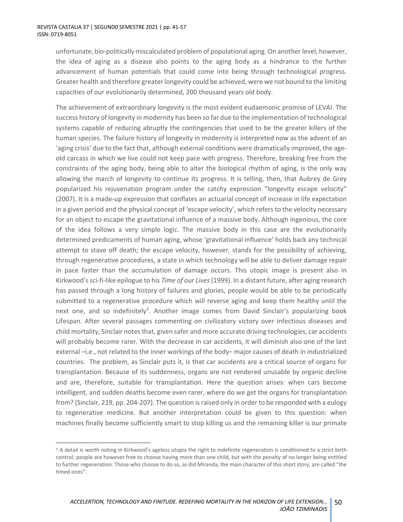unfortunate, bio-politically miscalculated problem of populational aging. On another level, however, the idea of aging as a disease also points to the aging body as a hindrance to the further advancement of human potentials that could come into being through technological progress. Greater health and therefore greater longevity could be achieved, were we not bound to the limiting capacities of our evolutionarily determined, 200 thousand years old body.

The achievement of extraordinary longevity is the most evident eudaemonic promise of LEVAI. The success history of longevity in modernity has been so far due to the implementation of technological systems capable of reducing abruptly the contingencies that used to be the greater killers of the human species. The failure history of longevity in modernity is interpreted now as the advent of an 'aging crisis' due to the fact that, although external conditions were dramatically improved, the ageold carcass in which we live could not keep pace with progress. Therefore, breaking free from the constraints of the aging body, being able to alter the biological rhythm of aging, is the only way allowing the march of longevity to continue its progress. It is telling, then, that Aubrey de Grey popularized his rejuvenation program under the catchy expression "longevity escape velocity" (2007). It is a made-up expression that conflates an actuarial concept of increase in life expectation in a given period and the physical concept of 'escape velocity', which refers to the velocity necessary for an object to escape the gravitational influence of a massive body. Although ingenious, the core of the idea follows a very simple logic. The massive body in this case are the evolutionarily determined predicaments of human aging, whose 'gravitational influence' holds back any technical attempt to stave off death; the escape velocity, however, stands for the possibility of achieving, through regenerative procedures, a state in which technology will be able to deliver damage repair in pace faster than the accumulation of damage occurs. This utopic image is present also in Kirkwood's sci-fi-like epilogue to his *Time of our Lives*(1999). In a distant future, after aging research has passed through a long history of failures and glories, people would be able to be periodically submitted to a regenerative procedure which will reverse aging and keep them healthy until the next one, and so indefinitely<sup>3</sup>. Another image comes from David Sinclair's popularizing book Lifespan. After several passages commenting on civilizatory victory over infectious diseases and child mortality, Sinclair notes that, given safer and more accurate driving technologies, car accidents will probably become rarer. With the decrease in car accidents, it will diminish also one of the last external –i.e., not related to the inner workings of the body– major causes of death in industrialized countries. The problem, as Sinclair puts it, is that car accidents are a critical source of organs for transplantation. Because of its suddenness, organs are not rendered unusable by organic decline and are, therefore, suitable for transplantation. Here the question arises: when cars become intelligent, and sudden deaths become even rarer, where do we get the organs for transplantation from? (Sinclair, 219, pp. 204-207). The question is raised only in order to be responded with a eulogy to regenerative medicine. But another interpretation could be given to this question: when machines finally become sufficiently smart to stop killing us and the remaining killer is our primate

<sup>&</sup>lt;sup>3</sup> A detail is worth noting in Kirkwood's ageless utopia the right to indefinite regeneration is conditioned to a strict birth control; people are however free to choose having more than one child, but with the penalty of no longer being entitled to further regeneration. Those who choose to do so, as did Miranda, the main character of this short story, are called "the timed ones".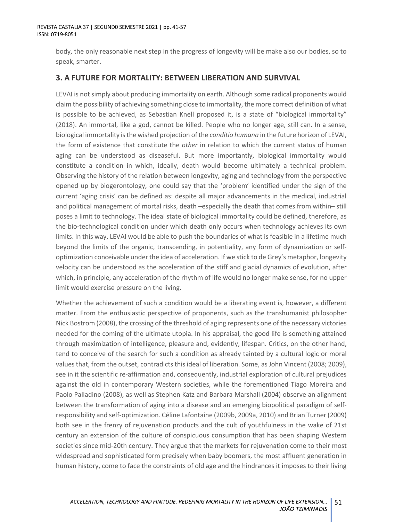body, the only reasonable next step in the progress of longevity will be make also our bodies, so to speak, smarter.

### **3. A FUTURE FOR MORTALITY: BETWEEN LIBERATION AND SURVIVAL**

LEVAI is not simply about producing immortality on earth. Although some radical proponents would claim the possibility of achieving something close to immortality, the more correct definition of what is possible to be achieved, as Sebastian Knell proposed it, is a state of "biological immortality" (2018). An immortal, like a god, cannot be killed. People who no longer age, still can. In a sense, biological immortality is the wished projection of the *conditio humana* in the future horizon of LEVAI, the form of existence that constitute the *other* in relation to which the current status of human aging can be understood as diseaseful. But more importantly, biological immortality would constitute a condition in which, ideally, death would become ultimately a technical problem. Observing the history of the relation between longevity, aging and technology from the perspective opened up by biogerontology, one could say that the 'problem' identified under the sign of the current 'aging crisis' can be defined as: despite all major advancements in the medical, industrial and political management of mortal risks, death –especially the death that comes from within– still poses a limit to technology. The ideal state of biological immortality could be defined, therefore, as the bio-technological condition under which death only occurs when technology achieves its own limits. In this way, LEVAI would be able to push the boundaries of what is feasible in a lifetime much beyond the limits of the organic, transcending, in potentiality, any form of dynamization or selfoptimization conceivable under the idea of acceleration. If we stick to de Grey's metaphor, longevity velocity can be understood as the acceleration of the stiff and glacial dynamics of evolution, after which, in principle, any acceleration of the rhythm of life would no longer make sense, for no upper limit would exercise pressure on the living.

Whether the achievement of such a condition would be a liberating event is, however, a different matter. From the enthusiastic perspective of proponents, such as the transhumanist philosopher Nick Bostrom (2008), the crossing of the threshold of aging represents one of the necessary victories needed for the coming of the ultimate utopia. In his appraisal, the good life is something attained through maximization of intelligence, pleasure and, evidently, lifespan. Critics, on the other hand, tend to conceive of the search for such a condition as already tainted by a cultural logic or moral values that, from the outset, contradicts this ideal of liberation. Some, as John Vincent (2008; 2009), see in it the scientific re-affirmation and, consequently, industrial exploration of cultural prejudices against the old in contemporary Western societies, while the forementioned Tiago Moreira and Paolo Palladino (2008), as well as Stephen Katz and Barbara Marshall (2004) observe an alignment between the transformation of aging into a disease and an emerging biopolitical paradigm of selfresponsibility and self-optimization. Céline Lafontaine (2009b, 2009a, 2010) and Brian Turner (2009) both see in the frenzy of rejuvenation products and the cult of youthfulness in the wake of 21st century an extension of the culture of conspicuous consumption that has been shaping Western societies since mid-20th century. They argue that the markets for rejuvenation come to their most widespread and sophisticated form precisely when baby boomers, the most affluent generation in human history, come to face the constraints of old age and the hindrances it imposes to their living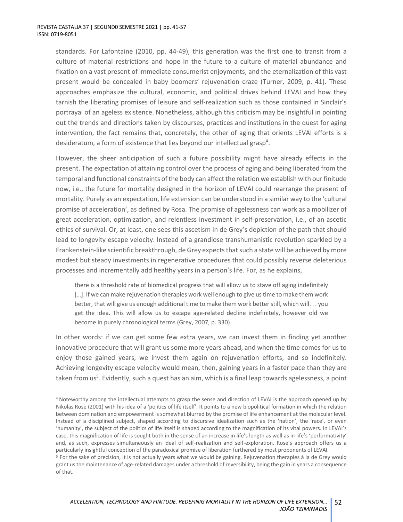standards. For Lafontaine (2010, pp. 44-49), this generation was the first one to transit from a culture of material restrictions and hope in the future to a culture of material abundance and fixation on a vast present of immediate consumerist enjoyments; and the eternalization of this vast present would be concealed in baby boomers' rejuvenation craze (Turner, 2009, p. 41). These approaches emphasize the cultural, economic, and political drives behind LEVAI and how they tarnish the liberating promises of leisure and self-realization such as those contained in Sinclair's portrayal of an ageless existence. Nonetheless, although this criticism may be insightful in pointing out the trends and directions taken by discourses, practices and institutions in the quest for aging intervention, the fact remains that, concretely, the other of aging that orients LEVAI efforts is a desideratum, a form of existence that lies beyond our intellectual grasp<sup>4</sup>.

However, the sheer anticipation of such a future possibility might have already effects in the present. The expectation of attaining control over the process of aging and being liberated from the temporal and functional constraints of the body can affect the relation we establish with our finitude now, i.e., the future for mortality designed in the horizon of LEVAI could rearrange the present of mortality. Purely as an expectation, life extension can be understood in a similar way to the 'cultural promise of acceleration', as defined by Rosa. The promise of agelessness can work as a mobilizer of great acceleration, optimization, and relentless investment in self-preservation, i.e., of an ascetic ethics of survival. Or, at least, one sees this ascetism in de Grey's depiction of the path that should lead to longevity escape velocity. Instead of a grandiose transhumanistic revolution sparkled by a Frankenstein-like scientific breakthrough, de Grey expects that such a state will be achieved by more modest but steady investments in regenerative procedures that could possibly reverse deleterious processes and incrementally add healthy years in a person's life. For, as he explains,

there is a threshold rate of biomedical progress that will allow us to stave off aging indefinitely [...]. If we can make rejuvenation therapies work well enough to give us time to make them work better, that will give us enough additional time to make them work better still, which will. . . you get the idea. This will allow us to escape age-related decline indefinitely, however old we become in purely chronological terms (Grey, 2007, p. 330).

In other words: if we can get some few extra years, we can invest them in finding yet another innovative procedure that will grant us some more years ahead, and when the time comes for us to enjoy those gained years, we invest them again on rejuvenation efforts, and so indefinitely. Achieving longevity escape velocity would mean, then, gaining years in a faster pace than they are taken from us<sup>5</sup>. Evidently, such a quest has an aim, which is a final leap towards agelessness, a point

<sup>4</sup> Noteworthy among the intellectual attempts to grasp the sense and direction of LEVAI is the approach opened up by Nikolas Rose (2001) with his idea of a 'politics of life itself'. It points to a new biopolitical formation in which the relation between domination and empowerment is somewhat blurred by the promise of life enhancement at the molecular level. Instead of a disciplined subject, shaped according to discursive idealization such as the 'nation', the 'race', or even 'humanity', the subject of the politics of life itself is shaped according to the magnification of its vital powers. In LEVAI's case, this magnification of life is sought both in the sense of an increase in life's length as well as in life's 'performativity' and, as such, expresses simultaneously an ideal of self-realization and self-exploration. Rose's approach offers us a particularly insightful conception of the paradoxical promise of liberation furthered by most proponents of LEVAI.

<sup>5</sup> For the sake of precision, it is not actually years what we would be gaining. Rejuvenation therapies à la de Grey would grant us the maintenance of age-related damages under a threshold of reversibility, being the gain in years a consequence of that.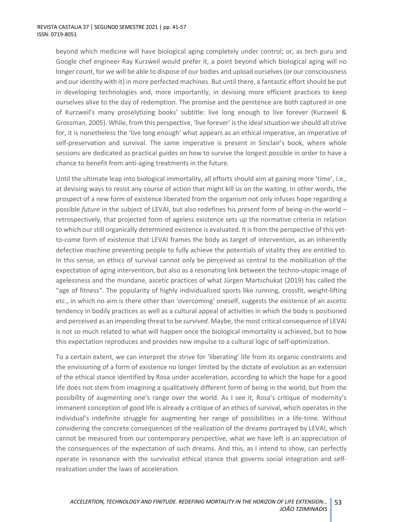beyond which medicine will have biological aging completely under control; or, as tech guru and Google chef engineer Ray Kurzweil would prefer it, a point beyond which biological aging will no longer count, for we will be able to dispose of our bodies and upload ourselves (or our consciousness and our identity with it) in more perfected machines. But until there, a fantastic effort should be put in developing technologies and, more importantly, in devising more efficient practices to keep ourselves alive to the day of redemption. The promise and the penitence are both captured in one of Kurzweil's many proselytizing books' subtitle: live long enough to live forever (Kurzweil & Grossman, 2005). While, from this perspective, 'live forever' is the ideal situation we should all strive for, it is nonetheless the 'live long enough' what appears as an ethical imperative, an imperative of self-preservation and survival. The same imperative is present in Sinclair's book, where whole sessions are dedicated as practical guides on how to survive the longest possible in order to have a chance to benefit from anti-aging treatments in the future.

Until the ultimate leap into biological immortality, all efforts should aim at gaining more 'time', i.e., at devising ways to resist any course of action that might kill us on the waiting. In other words, the prospect of a new form of existence liberated from the organism not only infuses hope regarding a possible *future* in the subject of LEVAI, but also redefines his *present* form of being-in-the-world – retrospectively, that projected form of ageless existence sets up the normative criteria in relation to which our still organically determined existence is evaluated. It is from the perspective of this yetto-come form of existence that LEVAI frames the body as target of intervention, as an inherently defective machine preventing people to fully achieve the potentials of vitality they are entitled to. In this sense, an ethics of survival cannot only be perceived as central to the mobilization of the expectation of aging intervention, but also as a resonating link between the techno-utopic image of agelessness and the mundane, ascetic practices of what Jürgen Martschukat (2019) has called the "age of fitness". The popularity of highly individualized sports like running, crossfit, weight-lifting etc., in which no aim is there other than 'overcoming' oneself, suggests the existence of an ascetic tendency in bodily practices as well as a cultural appeal of activities in which the body is positioned and perceived as an impending threat to be *survived*. Maybe, the most critical consequence of LEVAI is not so much related to what will happen once the biological immortality is achieved, but to how this expectation reproduces and provides new impulse to a cultural logic of self-optimization.

To a certain extent, we can interpret the strive for 'liberating' life from its organic constraints and the envisioning of a form of existence no longer limited by the dictate of evolution as an extension of the ethical stance identified by Rosa under acceleration, according to which the hope for a good life does not stem from imagining a qualitatively different form of being in the world, but from the possibility of augmenting one's range over the world. As I see it, Rosa's critique of modernity's immanent conception of good life is already a critique of an ethics of survival, which operates in the individual's indefinite struggle for augmenting her range of possibilities in a life-time. Without considering the concrete consequences of the realization of the dreams portrayed by LEVAI, which cannot be measured from our contemporary perspective, what we have left is an appreciation of the consequences of the expectation of such dreams. And this, as I intend to show, can perfectly operate in resonance with the survivalist ethical stance that governs social integration and selfrealization under the laws of acceleration.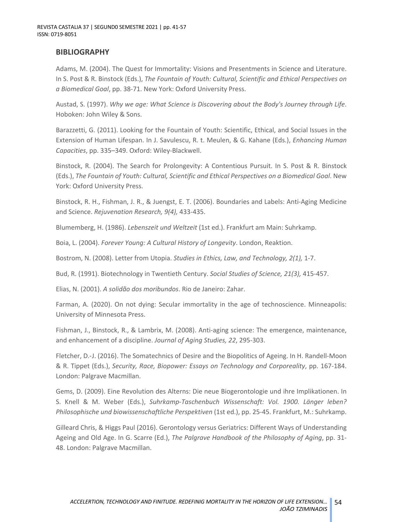### **BIBLIOGRAPHY**

Adams, M. (2004). The Quest for Immortality: Visions and Presentments in Science and Literature. In S. Post & R. Binstock (Eds.), *The Fountain of Youth: Cultural, Scientific and Ethical Perspectives on a Biomedical Goal*, pp. 38-71. New York: Oxford University Press.

Austad, S. (1997). *Why we age: What Science is Discovering about the Body's Journey through Life*. Hoboken: John Wiley & Sons.

Barazzetti, G. (2011). Looking for the Fountain of Youth: Scientific, Ethical, and Social Issues in the Extension of Human Lifespan. In J. Savulescu, R. t. Meulen, & G. Kahane (Eds.), *Enhancing Human Capacities*, pp. 335–349. Oxford: Wiley-Blackwell.

Binstock, R. (2004). The Search for Prolongevity: A Contentious Pursuit. In S. Post & R. Binstock (Eds.), *The Fountain of Youth: Cultural, Scientific and Ethical Perspectives on a Biomedical Goal*. New York: Oxford University Press.

Binstock, R. H., Fishman, J. R., & Juengst, E. T. (2006). Boundaries and Labels: Anti-Aging Medicine and Science. *Rejuvenation Research, 9(4),* 433-435.

Blumemberg, H. (1986). *Lebenszeit und Weltzeit* (1st ed.). Frankfurt am Main: Suhrkamp.

Boia, L. (2004). *Forever Young: A Cultural History of Longevity*. London, Reaktion.

Bostrom, N. (2008). Letter from Utopia. *Studies in Ethics, Law, and Technology, 2(1),* 1-7.

Bud, R. (1991). Biotechnology in Twentieth Century. *Social Studies of Science, 21(3),* 415-457.

Elias, N. (2001). *A solidão dos moribundos*. Rio de Janeiro: Zahar.

Farman, A. (2020). On not dying: Secular immortality in the age of technoscience. Minneapolis: University of Minnesota Press.

Fishman, J., Binstock, R., & Lambrix, M. (2008). Anti-aging science: The emergence, maintenance, and enhancement of a discipline. *Journal of Aging Studies, 22*, 295-303.

Fletcher, D.-J. (2016). The Somatechnics of Desire and the Biopolitics of Ageing. In H. Randell-Moon & R. Tippet (Eds.), *Security, Race, Biopower: Essays on Technology and Corporeality*, pp. 167-184. London: Palgrave Macmillan.

Gems, D. (2009). Eine Revolution des Alterns: Die neue Biogerontologie und ihre Implikationen. In S. Knell & M. Weber (Eds.), *Suhrkamp-Taschenbuch Wissenschaft: Vol. 1900. Länger leben? Philosophische und biowissenschaftliche Perspektiven* (1st ed.), pp. 25-45. Frankfurt, M.: Suhrkamp.

Gilleard Chris, & Higgs Paul (2016). Gerontology versus Geriatrics: Different Ways of Understanding Ageing and Old Age. In G. Scarre (Ed.), *The Palgrave Handbook of the Philosophy of Aging*, pp. 31- 48. London: Palgrave Macmillan.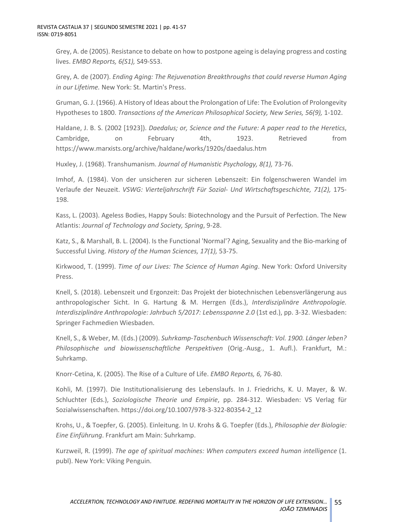Grey, A. de (2005). Resistance to debate on how to postpone ageing is delaying progress and costing lives. *EMBO Reports, 6(S1),* S49-S53.

Grey, A. de (2007). *Ending Aging: The Rejuvenation Breakthroughs that could reverse Human Aging in our Lifetime.* New York: St. Martin's Press.

Gruman, G. J. (1966). A History of Ideas about the Prolongation of Life: The Evolution of Prolongevity Hypotheses to 1800. *Transactions of the American Philosophical Society, New Series, 56(9),* 1-102.

Haldane, J. B. S. (2002 [1923]). *Daedalus; or, Science and the Future: A paper read to the Heretics*, Cambridge, on February 4th, 1923. Retrieved from https://www.marxists.org/archive/haldane/works/1920s/daedalus.htm

Huxley, J. (1968). Transhumanism. *Journal of Humanistic Psychology, 8(1),* 73-76.

Imhof, A. (1984). Von der unsicheren zur sicheren Lebenszeit: Ein folgenschweren Wandel im Verlaufe der Neuzeit. *VSWG: Vierteljahrschrift Für Sozial- Und Wirtschaftsgeschichte, 71(2),* 175- 198.

Kass, L. (2003). Ageless Bodies, Happy Souls: Biotechnology and the Pursuit of Perfection. The New Atlantis: *Journal of Technology and Society, Spring*, 9-28.

Katz, S., & Marshall, B. L. (2004). Is the Functional 'Normal'? Aging, Sexuality and the Bio-marking of Successful Living. *History of the Human Sciences, 17(1),* 53-75.

Kirkwood, T. (1999). *Time of our Lives: The Science of Human Aging*. New York: Oxford University Press.

Knell, S. (2018). Lebenszeit und Ergonzeit: Das Projekt der biotechnischen Lebensverlängerung aus anthropologischer Sicht. In G. Hartung & M. Herrgen (Eds.), *Interdisziplinäre Anthropologie. Interdisziplinäre Anthropologie: Jahrbuch 5/2017: Lebensspanne 2.0* (1st ed.), pp. 3-32. Wiesbaden: Springer Fachmedien Wiesbaden.

Knell, S., & Weber, M. (Eds.) (2009). *Suhrkamp-Taschenbuch Wissenschaft: Vol. 1900. Länger leben? Philosophische und biowissenschaftliche Perspektiven* (Orig.-Ausg., 1. Aufl.). Frankfurt, M.: Suhrkamp.

Knorr-Cetina, K. (2005). The Rise of a Culture of Life. *EMBO Reports, 6,* 76-80.

Kohli, M. (1997). Die Institutionalisierung des Lebenslaufs. In J. Friedrichs, K. U. Mayer, & W. Schluchter (Eds.), *Soziologische Theorie und Empirie*, pp. 284-312. Wiesbaden: VS Verlag für Sozialwissenschaften. https://doi.org/10.1007/978-3-322-80354-2\_12

Krohs, U., & Toepfer, G. (2005). Einleitung. In U. Krohs & G. Toepfer (Eds.), *Philosophie der Biologie: Eine Einführung*. Frankfurt am Main: Suhrkamp.

Kurzweil, R. (1999). *The age of spiritual machines: When computers exceed human intelligence* (1. publ). New York: Viking Penguin.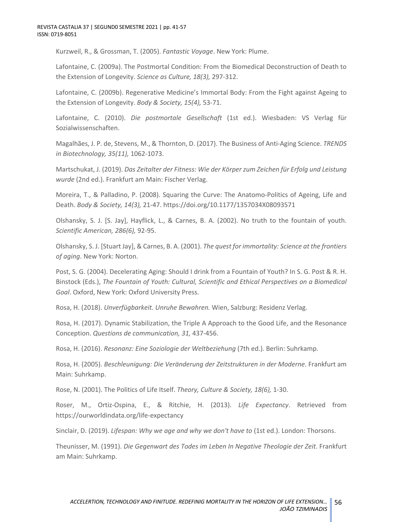Kurzweil, R., & Grossman, T. (2005). *Fantastic Voyage*. New York: Plume.

Lafontaine, C. (2009a). The Postmortal Condition: From the Biomedical Deconstruction of Death to the Extension of Longevity. *Science as Culture, 18(3),* 297-312.

Lafontaine, C. (2009b). Regenerative Medicine's Immortal Body: From the Fight against Ageing to the Extension of Longevity. *Body & Society, 15(4),* 53-71.

Lafontaine, C. (2010). *Die postmortale Gesellschaft* (1st ed.). Wiesbaden: VS Verlag für Sozialwissenschaften.

Magalhães, J. P. de, Stevens, M., & Thornton, D. (2017). The Business of Anti-Aging Science. *TRENDS in Biotechnology, 35(11),* 1062-1073.

Martschukat, J. (2019). *Das Zeitalter der Fitness: Wie der Körper zum Zeichen für Erfolg und Leistung wurde* (2nd ed.). Frankfurt am Main: Fischer Verlag.

Moreira, T., & Palladino, P. (2008). Squaring the Curve: The Anatomo-Politics of Ageing, Life and Death. *Body & Society, 14(3),* 21-47. https://doi.org/10.1177/1357034X08093571

Olshansky, S. J. [S. Jay], Hayflick, L., & Carnes, B. A. (2002). No truth to the fountain of youth. *Scientific American, 286(6),* 92-95.

Olshansky, S. J. [Stuart Jay], & Carnes, B. A. (2001). *The quest for immortality: Science at the frontiers of aging*. New York: Norton.

Post, S. G. (2004). Decelerating Aging: Should I drink from a Fountain of Youth? In S. G. Post & R. H. Binstock (Eds.), *The Fountain of Youth: Cultural, Scientific and Ethical Perspectives on a Biomedical Goal*. Oxford, New York: Oxford University Press.

Rosa, H. (2018). *Unverfügbarkeit. Unruhe Bewahren.* Wien, Salzburg: Residenz Verlag.

Rosa, H. (2017). Dynamic Stabilization, the Triple A Approach to the Good Life, and the Resonance Conception. *Questions de communication, 31,* 437-456.

Rosa, H. (2016). *Resonanz: Eine Soziologie der Weltbeziehung* (7th ed.). Berlin: Suhrkamp.

Rosa, H. (2005). *Beschleunigung: Die Veränderung der Zeitstrukturen in der Moderne*. Frankfurt am Main: Suhrkamp.

Rose, N. (2001). The Politics of Life Itself. *Theory, Culture & Society, 18(6),* 1-30.

Roser, M., Ortiz-Ospina, E., & Ritchie, H. (2013). *Life Expectancy*. Retrieved from https://ourworldindata.org/life-expectancy

Sinclair, D. (2019). *Lifespan: Why we age and why we don't have to* (1st ed.). London: Thorsons.

Theunisser, M. (1991). *Die Gegenwart des Todes im Leben In Negative Theologie der Zeit*. Frankfurt am Main: Suhrkamp.